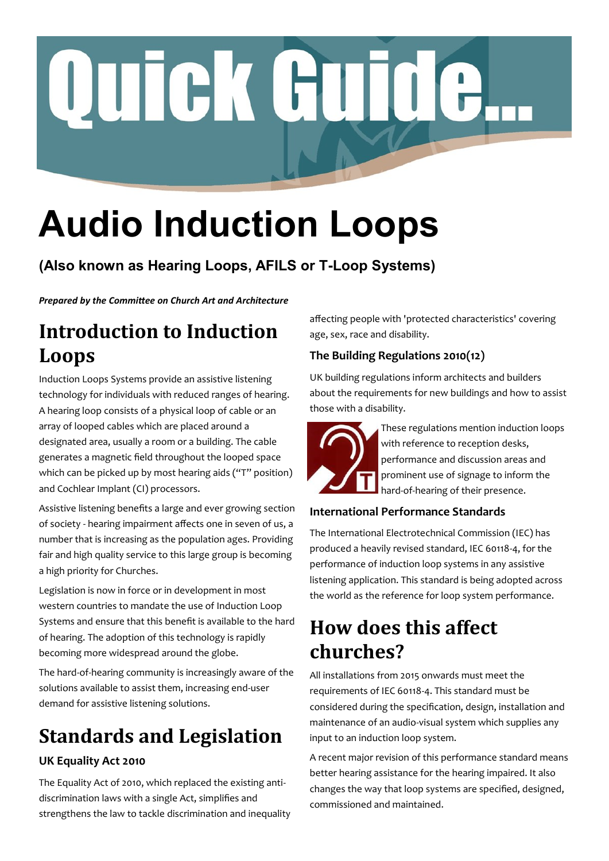# Quick Guide.

# **Audio Induction Loops**

### **(Also known as Hearing Loops, AFILS or T-Loop Systems)**

*Prepared by the Committee on Church Art and Architecture*

# **Introduction to Induction Loops**

Induction Loops Systems provide an assistive listening technology for individuals with reduced ranges of hearing. A hearing loop consists of a physical loop of cable or an array of looped cables which are placed around a designated area, usually a room or a building. The cable generates a magnetic field throughout the looped space which can be picked up by most hearing aids ("T" position) and Cochlear Implant (CI) processors.

Assistive listening benefits a large and ever growing section of society - hearing impairment affects one in seven of us, a number that is increasing as the population ages. Providing fair and high quality service to this large group is becoming a high priority for Churches.

Legislation is now in force or in development in most western countries to mandate the use of Induction Loop Systems and ensure that this benefit is available to the hard of hearing. The adoption of this technology is rapidly becoming more widespread around the globe.

The hard-of-hearing community is increasingly aware of the solutions available to assist them, increasing end-user demand for assistive listening solutions.

# **Standards and Legislation**

### **UK Equality Act 2010**

The Equality Act of 2010, which replaced the existing antidiscrimination laws with a single Act, simplifies and strengthens the law to tackle discrimination and inequality affecting people with 'protected characteristics' covering age, sex, race and disability.

### **The Building Regulations 2010(12)**

UK building regulations inform architects and builders about the requirements for new buildings and how to assist those with a disability.



These regulations mention induction loops with reference to reception desks, performance and discussion areas and prominent use of signage to inform the hard-of-hearing of their presence.

### **International Performance Standards**

The International Electrotechnical Commission (IEC) has produced a heavily revised standard, IEC 60118-4, for the performance of induction loop systems in any assistive listening application. This standard is being adopted across the world as the reference for loop system performance.

# **How does this affect churches?**

All installations from 2015 onwards must meet the requirements of IEC 60118-4. This standard must be considered during the specification, design, installation and maintenance of an audio-visual system which supplies any input to an induction loop system.

A recent major revision of this performance standard means better hearing assistance for the hearing impaired. It also changes the way that loop systems are specified, designed, commissioned and maintained.